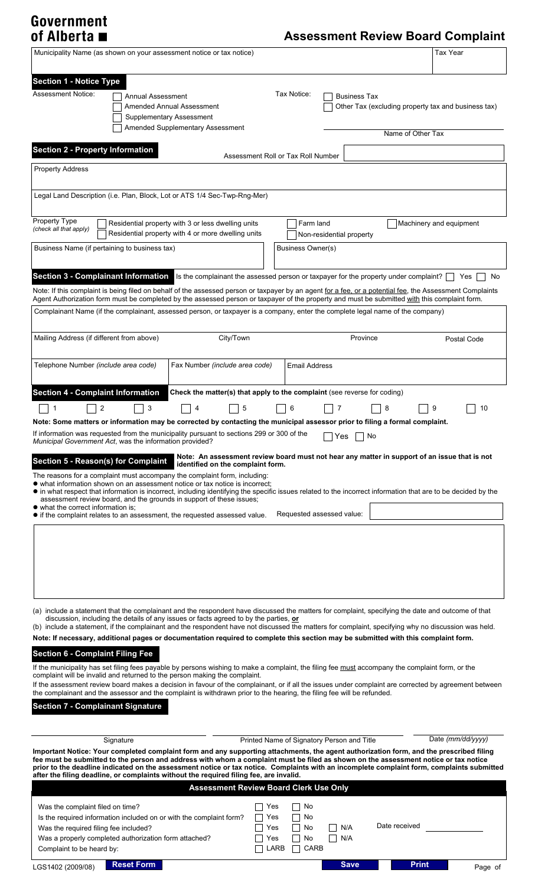# Government<br>of Alberta ■

## **Assessment Review Board Complaint**

|                                                                                                                                                                                                                                                                                                                                                                                                                                                                                                                                                                                                                                                                                                                                                                                                                                                                                                                                                                                                                                                                                                                                                                                                                      |                   | Municipality Name (as shown on your assessment notice or tax notice)                                                                                                                                                                                                                                                                                                                                                                                                                                                                                                                                                                                                                                                                                                                                                                                                                                                                                                                                                                                         |                                    |                      |                                            |                   | <b>Tax Year</b>                                     |
|----------------------------------------------------------------------------------------------------------------------------------------------------------------------------------------------------------------------------------------------------------------------------------------------------------------------------------------------------------------------------------------------------------------------------------------------------------------------------------------------------------------------------------------------------------------------------------------------------------------------------------------------------------------------------------------------------------------------------------------------------------------------------------------------------------------------------------------------------------------------------------------------------------------------------------------------------------------------------------------------------------------------------------------------------------------------------------------------------------------------------------------------------------------------------------------------------------------------|-------------------|--------------------------------------------------------------------------------------------------------------------------------------------------------------------------------------------------------------------------------------------------------------------------------------------------------------------------------------------------------------------------------------------------------------------------------------------------------------------------------------------------------------------------------------------------------------------------------------------------------------------------------------------------------------------------------------------------------------------------------------------------------------------------------------------------------------------------------------------------------------------------------------------------------------------------------------------------------------------------------------------------------------------------------------------------------------|------------------------------------|----------------------|--------------------------------------------|-------------------|-----------------------------------------------------|
| <b>Section 1 - Notice Type</b><br><b>Assessment Notice:</b>                                                                                                                                                                                                                                                                                                                                                                                                                                                                                                                                                                                                                                                                                                                                                                                                                                                                                                                                                                                                                                                                                                                                                          | Annual Assessment | Amended Annual Assessment<br>Supplementary Assessment<br>Amended Supplementary Assessment                                                                                                                                                                                                                                                                                                                                                                                                                                                                                                                                                                                                                                                                                                                                                                                                                                                                                                                                                                    |                                    | Tax Notice:          | <b>Business Tax</b>                        | Name of Other Tax | Other Tax (excluding property tax and business tax) |
| <b>Section 2 - Property Information</b>                                                                                                                                                                                                                                                                                                                                                                                                                                                                                                                                                                                                                                                                                                                                                                                                                                                                                                                                                                                                                                                                                                                                                                              |                   |                                                                                                                                                                                                                                                                                                                                                                                                                                                                                                                                                                                                                                                                                                                                                                                                                                                                                                                                                                                                                                                              |                                    |                      |                                            |                   |                                                     |
| <b>Property Address</b>                                                                                                                                                                                                                                                                                                                                                                                                                                                                                                                                                                                                                                                                                                                                                                                                                                                                                                                                                                                                                                                                                                                                                                                              |                   |                                                                                                                                                                                                                                                                                                                                                                                                                                                                                                                                                                                                                                                                                                                                                                                                                                                                                                                                                                                                                                                              | Assessment Roll or Tax Roll Number |                      |                                            |                   |                                                     |
|                                                                                                                                                                                                                                                                                                                                                                                                                                                                                                                                                                                                                                                                                                                                                                                                                                                                                                                                                                                                                                                                                                                                                                                                                      |                   |                                                                                                                                                                                                                                                                                                                                                                                                                                                                                                                                                                                                                                                                                                                                                                                                                                                                                                                                                                                                                                                              |                                    |                      |                                            |                   |                                                     |
| Legal Land Description (i.e. Plan, Block, Lot or ATS 1/4 Sec-Twp-Rng-Mer)                                                                                                                                                                                                                                                                                                                                                                                                                                                                                                                                                                                                                                                                                                                                                                                                                                                                                                                                                                                                                                                                                                                                            |                   |                                                                                                                                                                                                                                                                                                                                                                                                                                                                                                                                                                                                                                                                                                                                                                                                                                                                                                                                                                                                                                                              |                                    |                      |                                            |                   |                                                     |
| Property Type<br>(check all that apply)                                                                                                                                                                                                                                                                                                                                                                                                                                                                                                                                                                                                                                                                                                                                                                                                                                                                                                                                                                                                                                                                                                                                                                              |                   | Residential property with 3 or less dwelling units<br>Residential property with 4 or more dwelling units                                                                                                                                                                                                                                                                                                                                                                                                                                                                                                                                                                                                                                                                                                                                                                                                                                                                                                                                                     |                                    | Farm land            | Non-residential property                   |                   | Machinery and equipment                             |
| Business Name (if pertaining to business tax)                                                                                                                                                                                                                                                                                                                                                                                                                                                                                                                                                                                                                                                                                                                                                                                                                                                                                                                                                                                                                                                                                                                                                                        |                   |                                                                                                                                                                                                                                                                                                                                                                                                                                                                                                                                                                                                                                                                                                                                                                                                                                                                                                                                                                                                                                                              |                                    | Business Owner(s)    |                                            |                   |                                                     |
| Section 3 - Complainant Information Is the complainant the assessed person or taxpayer for the property under complaint?<br>Yes<br><b>No</b><br>Note: If this complaint is being filed on behalf of the assessed person or taxpayer by an agent for a fee, or a potential fee, the Assessment Complaints<br>Agent Authorization form must be completed by the assessed person or taxpayer of the property and must be submitted with this complaint form.<br>Complainant Name (if the complainant, assessed person, or taxpayer is a company, enter the complete legal name of the company)                                                                                                                                                                                                                                                                                                                                                                                                                                                                                                                                                                                                                          |                   |                                                                                                                                                                                                                                                                                                                                                                                                                                                                                                                                                                                                                                                                                                                                                                                                                                                                                                                                                                                                                                                              |                                    |                      |                                            |                   |                                                     |
| Mailing Address (if different from above)                                                                                                                                                                                                                                                                                                                                                                                                                                                                                                                                                                                                                                                                                                                                                                                                                                                                                                                                                                                                                                                                                                                                                                            |                   | City/Town                                                                                                                                                                                                                                                                                                                                                                                                                                                                                                                                                                                                                                                                                                                                                                                                                                                                                                                                                                                                                                                    |                                    |                      | Province                                   |                   |                                                     |
|                                                                                                                                                                                                                                                                                                                                                                                                                                                                                                                                                                                                                                                                                                                                                                                                                                                                                                                                                                                                                                                                                                                                                                                                                      |                   |                                                                                                                                                                                                                                                                                                                                                                                                                                                                                                                                                                                                                                                                                                                                                                                                                                                                                                                                                                                                                                                              |                                    |                      |                                            |                   | Postal Code                                         |
| Telephone Number (include area code)                                                                                                                                                                                                                                                                                                                                                                                                                                                                                                                                                                                                                                                                                                                                                                                                                                                                                                                                                                                                                                                                                                                                                                                 |                   | Fax Number (include area code)                                                                                                                                                                                                                                                                                                                                                                                                                                                                                                                                                                                                                                                                                                                                                                                                                                                                                                                                                                                                                               |                                    | <b>Email Address</b> |                                            |                   |                                                     |
| <b>Section 4 - Complaint Information</b><br>Check the matter(s) that apply to the complaint (see reverse for coding)<br>2<br>3<br>5<br>9<br>6<br>8<br>10<br>1<br>4<br>Note: Some matters or information may be corrected by contacting the municipal assessor prior to filing a formal complaint.<br>If information was requested from the municipality pursuant to sections 299 or 300 of the<br>$\Box$ Yes $\Box$ No<br>Municipal Government Act, was the information provided?<br>Note: An assessment review board must not hear any matter in support of an issue that is not<br>Section 5 - Reason(s) for Complaint<br>identified on the complaint form.<br>The reasons for a complaint must accompany the complaint form, including:<br>• what information shown on an assessment notice or tax notice is incorrect:<br>• in what respect that information is incorrect, including identifying the specific issues related to the incorrect information that are to be decided by the<br>assessment review board, and the grounds in support of these issues;<br>• what the correct information is:<br>Requested assessed value:<br>• if the complaint relates to an assessment, the requested assessed value. |                   |                                                                                                                                                                                                                                                                                                                                                                                                                                                                                                                                                                                                                                                                                                                                                                                                                                                                                                                                                                                                                                                              |                                    |                      |                                            |                   |                                                     |
| <b>Section 6 - Complaint Filing Fee</b><br><b>Section 7 - Complainant Signature</b>                                                                                                                                                                                                                                                                                                                                                                                                                                                                                                                                                                                                                                                                                                                                                                                                                                                                                                                                                                                                                                                                                                                                  | Signature         | (a) include a statement that the complainant and the respondent have discussed the matters for complaint, specifying the date and outcome of that<br>discussion, including the details of any issues or facts agreed to by the parties, or<br>(b) include a statement, if the complainant and the respondent have not discussed the matters for complaint, specifying why no discussion was held.<br>Note: If necessary, additional pages or documentation required to complete this section may be submitted with this complaint form.<br>If the municipality has set filing fees payable by persons wishing to make a complaint, the filing fee must accompany the complaint form, or the<br>complaint will be invalid and returned to the person making the complaint.<br>If the assessment review board makes a decision in favour of the complainant, or if all the issues under complaint are corrected by agreement between<br>the complainant and the assessor and the complaint is withdrawn prior to the hearing, the filing fee will be refunded. |                                    |                      | Printed Name of Signatory Person and Title |                   | Date (mm/dd/yyyy)                                   |
| Important Notice: Your completed complaint form and any supporting attachments, the agent authorization form, and the prescribed filing<br>fee must be submitted to the person and address with whom a complaint must be filed as shown on the assessment notice or tax notice<br>prior to the deadline indicated on the assessment notice or tax notice. Complaints with an incomplete complaint form, complaints submitted<br>after the filing deadline, or complaints without the required filing fee, are invalid.<br><b>Assessment Review Board Clerk Use Only</b>                                                                                                                                                                                                                                                                                                                                                                                                                                                                                                                                                                                                                                              |                   |                                                                                                                                                                                                                                                                                                                                                                                                                                                                                                                                                                                                                                                                                                                                                                                                                                                                                                                                                                                                                                                              |                                    |                      |                                            |                   |                                                     |
| Was the complaint filed on time?                                                                                                                                                                                                                                                                                                                                                                                                                                                                                                                                                                                                                                                                                                                                                                                                                                                                                                                                                                                                                                                                                                                                                                                     |                   | Is the required information included on or with the complaint form?                                                                                                                                                                                                                                                                                                                                                                                                                                                                                                                                                                                                                                                                                                                                                                                                                                                                                                                                                                                          | Yes<br>Yes                         | No<br>No             |                                            | Date received     |                                                     |
| Was the required filing fee included?<br>Was a properly completed authorization form attached?<br>Complaint to be heard by:                                                                                                                                                                                                                                                                                                                                                                                                                                                                                                                                                                                                                                                                                                                                                                                                                                                                                                                                                                                                                                                                                          |                   |                                                                                                                                                                                                                                                                                                                                                                                                                                                                                                                                                                                                                                                                                                                                                                                                                                                                                                                                                                                                                                                              | Yes<br>Yes<br>LARB                 | No<br>No<br>CARB     | N/A<br>$\Box$ N/A                          |                   |                                                     |
| LGS1402 (2009/08)                                                                                                                                                                                                                                                                                                                                                                                                                                                                                                                                                                                                                                                                                                                                                                                                                                                                                                                                                                                                                                                                                                                                                                                                    | <b>Reset Form</b> |                                                                                                                                                                                                                                                                                                                                                                                                                                                                                                                                                                                                                                                                                                                                                                                                                                                                                                                                                                                                                                                              |                                    |                      | <b>Save</b>                                | <b>Print</b>      | Page of                                             |